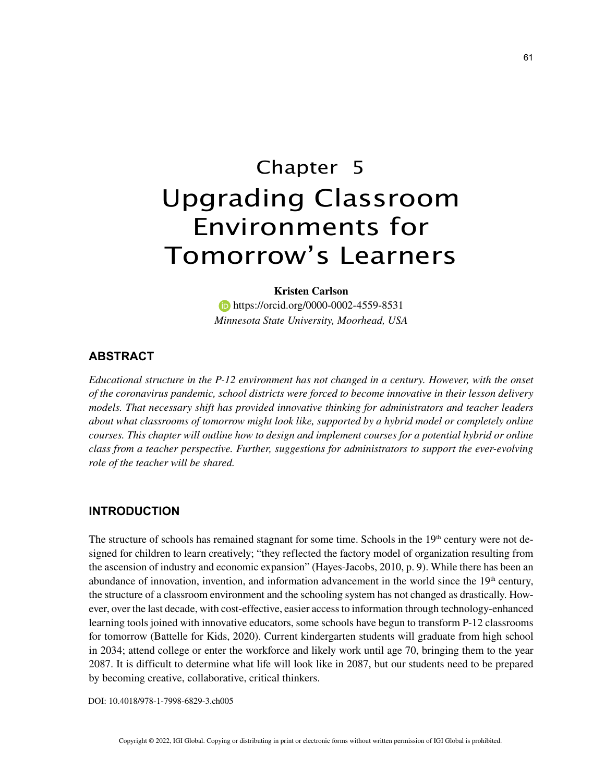# Chapter 5 Upgrading Classroom Environments for Tomorrow's Learners

# **Kristen Carlson https://orcid.org/0000-0002-4559-8531** *Minnesota State University, Moorhead, USA*

### **ABSTRACT**

*Educational structure in the P-12 environment has not changed in a century. However, with the onset of the coronavirus pandemic, school districts were forced to become innovative in their lesson delivery models. That necessary shift has provided innovative thinking for administrators and teacher leaders about what classrooms of tomorrow might look like, supported by a hybrid model or completely online courses. This chapter will outline how to design and implement courses for a potential hybrid or online class from a teacher perspective. Further, suggestions for administrators to support the ever-evolving role of the teacher will be shared.*

#### **INTRODUCTION**

The structure of schools has remained stagnant for some time. Schools in the  $19<sup>th</sup>$  century were not designed for children to learn creatively; "they reflected the factory model of organization resulting from the ascension of industry and economic expansion" (Hayes-Jacobs, 2010, p. 9). While there has been an abundance of innovation, invention, and information advancement in the world since the  $19<sup>th</sup>$  century, the structure of a classroom environment and the schooling system has not changed as drastically. However, over the last decade, with cost-effective, easier access to information through technology-enhanced learning tools joined with innovative educators, some schools have begun to transform P-12 classrooms for tomorrow (Battelle for Kids, 2020). Current kindergarten students will graduate from high school in 2034; attend college or enter the workforce and likely work until age 70, bringing them to the year 2087. It is difficult to determine what life will look like in 2087, but our students need to be prepared by becoming creative, collaborative, critical thinkers.

DOI: 10.4018/978-1-7998-6829-3.ch005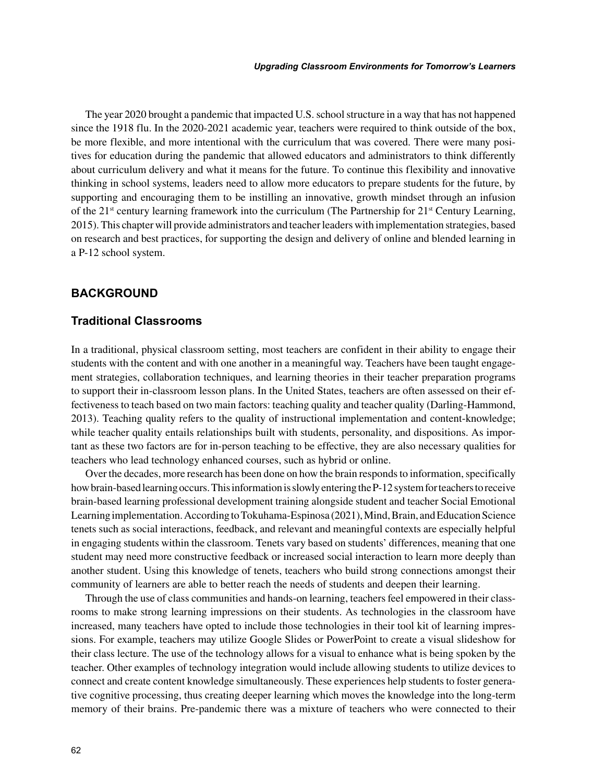The year 2020 brought a pandemic that impacted U.S. school structure in a way that has not happened since the 1918 flu. In the 2020-2021 academic year, teachers were required to think outside of the box, be more flexible, and more intentional with the curriculum that was covered. There were many positives for education during the pandemic that allowed educators and administrators to think differently about curriculum delivery and what it means for the future. To continue this flexibility and innovative thinking in school systems, leaders need to allow more educators to prepare students for the future, by supporting and encouraging them to be instilling an innovative, growth mindset through an infusion of the  $21<sup>st</sup>$  century learning framework into the curriculum (The Partnership for  $21<sup>st</sup>$  Century Learning, 2015). This chapter will provide administrators and teacher leaders with implementation strategies, based on research and best practices, for supporting the design and delivery of online and blended learning in a P-12 school system.

## **BACKGROUND**

### **Traditional Classrooms**

In a traditional, physical classroom setting, most teachers are confident in their ability to engage their students with the content and with one another in a meaningful way. Teachers have been taught engagement strategies, collaboration techniques, and learning theories in their teacher preparation programs to support their in-classroom lesson plans. In the United States, teachers are often assessed on their effectiveness to teach based on two main factors: teaching quality and teacher quality (Darling-Hammond, 2013). Teaching quality refers to the quality of instructional implementation and content-knowledge; while teacher quality entails relationships built with students, personality, and dispositions. As important as these two factors are for in-person teaching to be effective, they are also necessary qualities for teachers who lead technology enhanced courses, such as hybrid or online.

Over the decades, more research has been done on how the brain responds to information, specifically how brain-based learning occurs. This information is slowly entering the P-12 system for teachers to receive brain-based learning professional development training alongside student and teacher Social Emotional Learning implementation. According to Tokuhama-Espinosa (2021), Mind, Brain, and Education Science tenets such as social interactions, feedback, and relevant and meaningful contexts are especially helpful in engaging students within the classroom. Tenets vary based on students' differences, meaning that one student may need more constructive feedback or increased social interaction to learn more deeply than another student. Using this knowledge of tenets, teachers who build strong connections amongst their community of learners are able to better reach the needs of students and deepen their learning.

Through the use of class communities and hands-on learning, teachers feel empowered in their classrooms to make strong learning impressions on their students. As technologies in the classroom have increased, many teachers have opted to include those technologies in their tool kit of learning impressions. For example, teachers may utilize Google Slides or PowerPoint to create a visual slideshow for their class lecture. The use of the technology allows for a visual to enhance what is being spoken by the teacher. Other examples of technology integration would include allowing students to utilize devices to connect and create content knowledge simultaneously. These experiences help students to foster generative cognitive processing, thus creating deeper learning which moves the knowledge into the long-term memory of their brains. Pre-pandemic there was a mixture of teachers who were connected to their